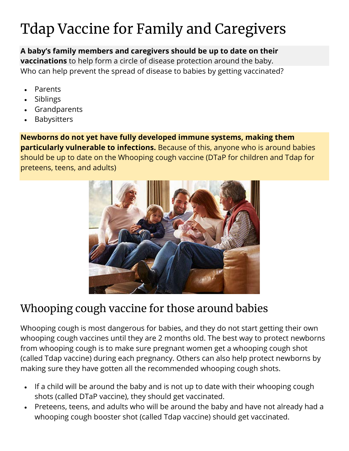## Tdap Vaccine for Family and Caregivers

**A baby's family members and caregivers should be up to date on their vaccinations** to help form a circle of disease protection around the baby. Who can help prevent the spread of disease to babies by getting vaccinated?

- **Parents**
- Siblings
- Grandparents
- **Babysitters**

**Newborns do not yet have fully developed immune systems, making them particularly vulnerable to infections.** Because of this, anyone who is around babies should be up to date on the Whooping cough vaccine (DTaP for children and Tdap for preteens, teens, and adults)



## Whooping cough vaccine for those around babies

Whooping cough is most dangerous for babies, and they do not start getting their own whooping cough vaccines until they are 2 months old. The best way to protect newborns from whooping cough is to make sure pregnant women get a whooping cough shot (called Tdap vaccine) during each pregnancy. Others can also help protect newborns by making sure they have gotten all the recommended whooping cough shots.

- If a child will be around the baby and is not up to date with their whooping cough shots (called DTaP vaccine), they should get vaccinated.
- Preteens, teens, and adults who will be around the baby and have not already had a whooping cough booster shot (called Tdap vaccine) should get vaccinated.